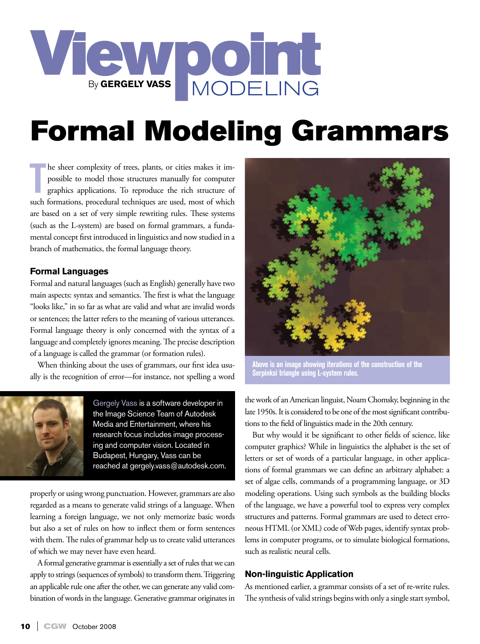

## Formal Modeling Grammars

**T** he sheer complexity of trees, plants, or cities makes it impossible to model those structures manually for computer graphics applications. To reproduce the rich structure of such formations, procedural techniques are used, most of which are based on a set of very simple rewriting rules. These systems (such as the L-system) are based on formal grammars, a fundamental concept first introduced in linguistics and now studied in a branch of mathematics, the formal language theory.

## **Formal Languages**

Formal and natural languages (such as English) generally have two main aspects: syntax and semantics. The first is what the language "looks like," in so far as what are valid and what are invalid words or sentences; the latter refers to the meaning of various utterances. Formal language theory is only concerned with the syntax of a language and completely ignores meaning. The precise description of a language is called the grammar (or formation rules).

When thinking about the uses of grammars, our first idea usually is the recognition of error—for instance, not spelling a word



Gergely Vass is a software developer in the Image Science Team of Autodesk Media and Entertainment, where his research focus includes image processing and computer vision. Located in Budapest, Hungary, Vass can be reached at gergely.vass@autodesk.com.

properly or using wrong punctuation. However, grammars are also regarded as a means to generate valid strings of a language. When learning a foreign language, we not only memorize basic words but also a set of rules on how to inflect them or form sentences with them. The rules of grammar help us to create valid utterances of which we may never have even heard.

A formal generative grammar is essentially a set of rules that we can apply to strings (sequences of symbols) to transform them. Triggering an applicable rule one after the other, we can generate any valid combination of words in the language. Generative grammar originates in



**Above is an image showing iterations of the construction of the Serpinksi triangle using L-system rules.**

the work of an American linguist, Noam Chomsky, beginning in the late 1950s. It is considered to be one of the most significant contributions to the field of linguistics made in the 20th century.

But why would it be significant to other fields of science, like computer graphics? While in linguistics the alphabet is the set of letters or set of words of a particular language, in other applications of formal grammars we can define an arbitrary alphabet: a set of algae cells, commands of a programming language, or 3D modeling operations. Using such symbols as the building blocks of the language, we have a powerful tool to express very complex structures and patterns. Formal grammars are used to detect erroneous HTML (or XML) code of Web pages, identify syntax problems in computer programs, or to simulate biological formations, such as realistic neural cells.

## **Non-linguistic Application**

As mentioned earlier, a grammar consists of a set of re-write rules. The synthesis of valid strings begins with only a single start symbol,